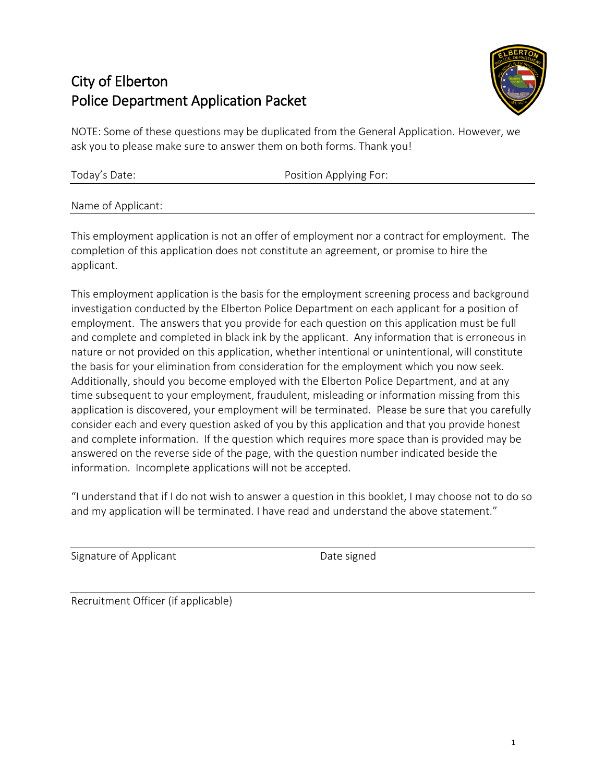# City of Elberton Police Department Application Packet



NOTE: Some of these questions may be duplicated from the General Application. However, we ask you to please make sure to answer them on both forms. Thank you!

| Today's Date: | Position Applying For: |  |
|---------------|------------------------|--|
|               |                        |  |

Name of Applicant:

This employment application is not an offer of employment nor a contract for employment. The completion of this application does not constitute an agreement, or promise to hire the applicant.

This employment application is the basis for the employment screening process and background investigation conducted by the Elberton Police Department on each applicant for a position of employment. The answers that you provide for each question on this application must be full and complete and completed in black ink by the applicant. Any information that is erroneous in nature or not provided on this application, whether intentional or unintentional, will constitute the basis for your elimination from consideration for the employment which you now seek. Additionally, should you become employed with the Elberton Police Department, and at any time subsequent to your employment, fraudulent, misleading or information missing from this application is discovered, your employment will be terminated. Please be sure that you carefully consider each and every question asked of you by this application and that you provide honest and complete information. If the question which requires more space than is provided may be answered on the reverse side of the page, with the question number indicated beside the information. Incomplete applications will not be accepted.

"I understand that if I do not wish to answer a question in this booklet, I may choose not to do so and my application will be terminated. I have read and understand the above statement."

Signature of Applicant **Date Signature of Applicant** 

Recruitment Officer (if applicable)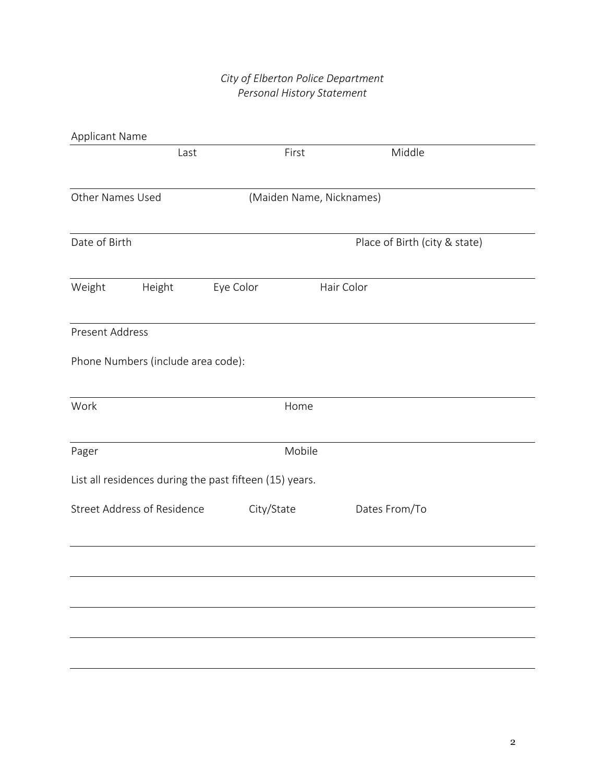# *City of Elberton Police Department Personal History Statement*

| Applicant Name         |                                    |                                                         |                          |                               |  |
|------------------------|------------------------------------|---------------------------------------------------------|--------------------------|-------------------------------|--|
|                        | Last                               |                                                         | First                    | Middle                        |  |
| Other Names Used       |                                    |                                                         | (Maiden Name, Nicknames) |                               |  |
| Date of Birth          |                                    |                                                         |                          | Place of Birth (city & state) |  |
| Weight                 | Height                             | Eye Color                                               |                          | Hair Color                    |  |
| <b>Present Address</b> |                                    |                                                         |                          |                               |  |
|                        | Phone Numbers (include area code): |                                                         |                          |                               |  |
| Work                   |                                    |                                                         | Home                     |                               |  |
| Pager                  |                                    |                                                         | Mobile                   |                               |  |
|                        |                                    | List all residences during the past fifteen (15) years. |                          |                               |  |
|                        | <b>Street Address of Residence</b> | City/State                                              |                          | Dates From/To                 |  |
|                        |                                    |                                                         |                          |                               |  |
|                        |                                    |                                                         |                          |                               |  |
|                        |                                    |                                                         |                          |                               |  |
|                        |                                    |                                                         |                          |                               |  |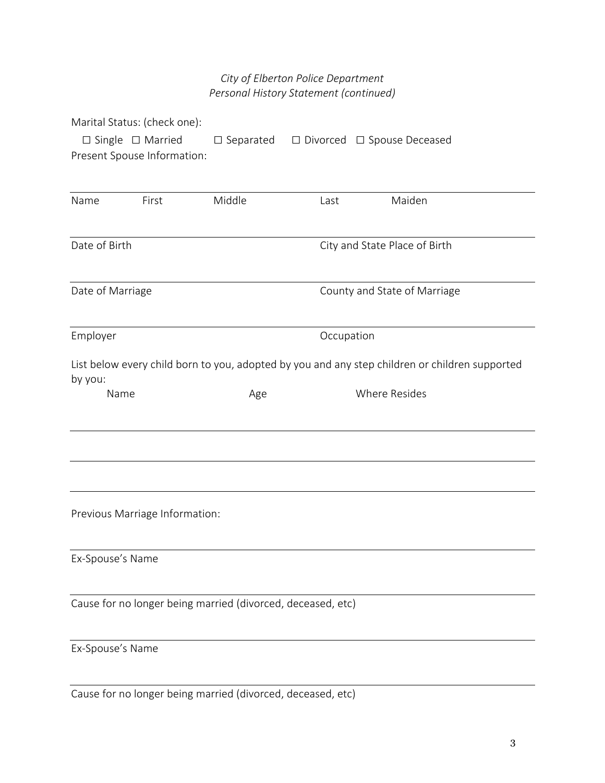# *City of Elberton Police Department Personal History Statement (continued)*

| Marital Status: (check one):                                |                     |            |                                                                                                |
|-------------------------------------------------------------|---------------------|------------|------------------------------------------------------------------------------------------------|
| $\Box$ Single $\Box$ Married                                | $\square$ Separated |            | $\Box$ Divorced $\Box$ Spouse Deceased                                                         |
| Present Spouse Information:                                 |                     |            |                                                                                                |
|                                                             |                     |            |                                                                                                |
| Name<br>First                                               | Middle              | Last       | Maiden                                                                                         |
|                                                             |                     |            |                                                                                                |
| Date of Birth                                               |                     |            | City and State Place of Birth                                                                  |
|                                                             |                     |            |                                                                                                |
| Date of Marriage                                            |                     |            | County and State of Marriage                                                                   |
|                                                             |                     |            |                                                                                                |
| Employer                                                    |                     | Occupation |                                                                                                |
|                                                             |                     |            | List below every child born to you, adopted by you and any step children or children supported |
| by you:                                                     |                     |            |                                                                                                |
| Name                                                        | Age                 |            | Where Resides                                                                                  |
|                                                             |                     |            |                                                                                                |
|                                                             |                     |            |                                                                                                |
|                                                             |                     |            |                                                                                                |
|                                                             |                     |            |                                                                                                |
| Previous Marriage Information:                              |                     |            |                                                                                                |
|                                                             |                     |            |                                                                                                |
| Ex-Spouse's Name                                            |                     |            |                                                                                                |
|                                                             |                     |            |                                                                                                |
| Cause for no longer being married (divorced, deceased, etc) |                     |            |                                                                                                |
|                                                             |                     |            |                                                                                                |
| Ex-Spouse's Name                                            |                     |            |                                                                                                |
|                                                             |                     |            |                                                                                                |

Cause for no longer being married (divorced, deceased, etc)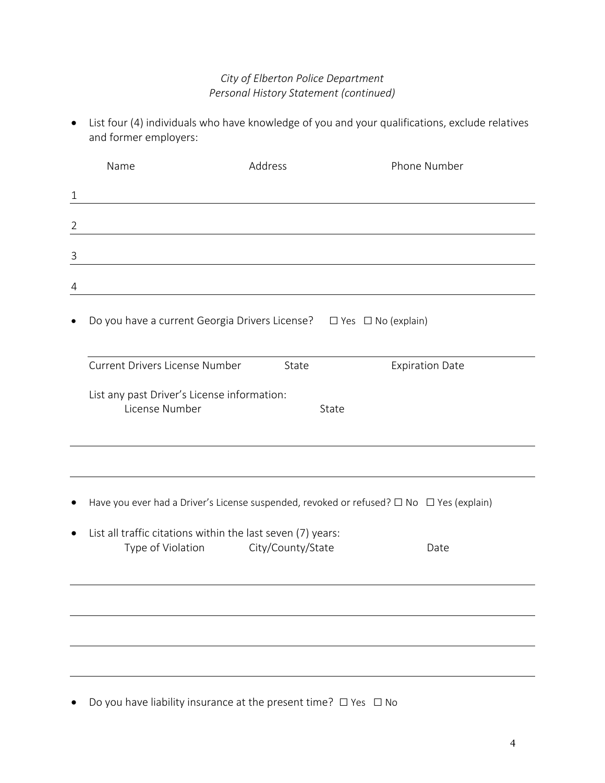# *City of Elberton Police Department Personal History Statement (continued)*

 List four (4) individuals who have knowledge of you and your qualifications, exclude relatives and former employers:

|                | Name                                                                             | Address           |       | Phone Number                                                                             |  |
|----------------|----------------------------------------------------------------------------------|-------------------|-------|------------------------------------------------------------------------------------------|--|
| $\mathbf{1}$   |                                                                                  |                   |       |                                                                                          |  |
| $\overline{2}$ |                                                                                  |                   |       |                                                                                          |  |
| $\mathsf{3}$   |                                                                                  |                   |       |                                                                                          |  |
| 4              |                                                                                  |                   |       |                                                                                          |  |
|                | Do you have a current Georgia Drivers License? □ Yes □ No (explain)              |                   |       |                                                                                          |  |
|                | Current Drivers License Number                                                   | State             |       | <b>Expiration Date</b>                                                                   |  |
|                | List any past Driver's License information:<br>License Number                    |                   | State |                                                                                          |  |
|                |                                                                                  |                   |       |                                                                                          |  |
|                |                                                                                  |                   |       | Have you ever had a Driver's License suspended, revoked or refused? □ No □ Yes (explain) |  |
|                | List all traffic citations within the last seven (7) years:<br>Type of Violation | City/County/State |       | Date                                                                                     |  |
|                |                                                                                  |                   |       |                                                                                          |  |
|                |                                                                                  |                   |       |                                                                                          |  |
|                |                                                                                  |                   |       |                                                                                          |  |
|                |                                                                                  |                   |       |                                                                                          |  |

● Do you have liability insurance at the present time? □ Yes □ No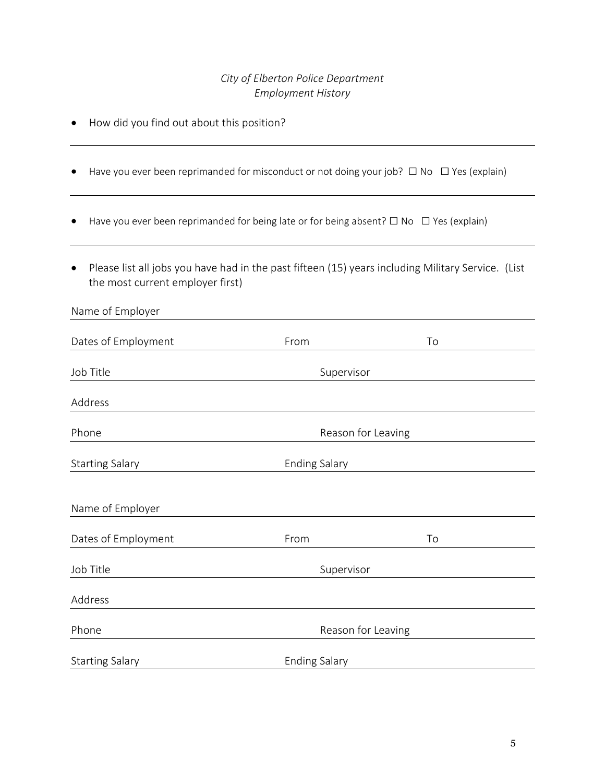## *City of Elberton Police Department Employment History*

- How did you find out about this position?
- Have you ever been reprimanded for misconduct or not doing your job?  $\Box$  No  $\Box$  Yes (explain)
- Have you ever been reprimanded for being late or for being absent? □ No □ Yes (explain)
- Please list all jobs you have had in the past fifteen (15) years including Military Service. (List the most current employer first)

| Name of Employer       |                      |    |
|------------------------|----------------------|----|
| Dates of Employment    | From                 | To |
| Job Title              | Supervisor           |    |
| Address                |                      |    |
| Phone                  | Reason for Leaving   |    |
| <b>Starting Salary</b> | <b>Ending Salary</b> |    |
| Name of Employer       |                      |    |
| Dates of Employment    | From                 | To |
| Job Title              | Supervisor           |    |
| Address                |                      |    |
| Phone                  | Reason for Leaving   |    |
| <b>Starting Salary</b> | <b>Ending Salary</b> |    |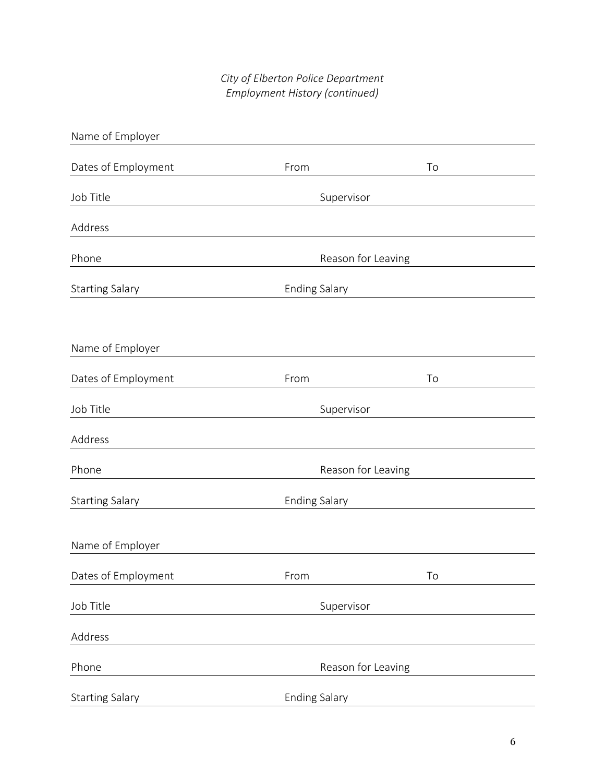# *City of Elberton Police Department Employment History (continued)*

| Name of Employer       |                      |    |
|------------------------|----------------------|----|
| Dates of Employment    | From                 | To |
| Job Title              | Supervisor           |    |
| Address                |                      |    |
| Phone                  | Reason for Leaving   |    |
| <b>Starting Salary</b> | <b>Ending Salary</b> |    |
|                        |                      |    |
| Name of Employer       |                      |    |
| Dates of Employment    | From                 | To |
| Job Title              | Supervisor           |    |
| Address                |                      |    |
| Phone                  | Reason for Leaving   |    |
| <b>Starting Salary</b> | <b>Ending Salary</b> |    |
|                        |                      |    |
| Name of Employer       |                      |    |
| Dates of Employment    | From                 | To |
| Job Title              | Supervisor           |    |
| Address                |                      |    |
| Phone                  | Reason for Leaving   |    |
| <b>Starting Salary</b> | <b>Ending Salary</b> |    |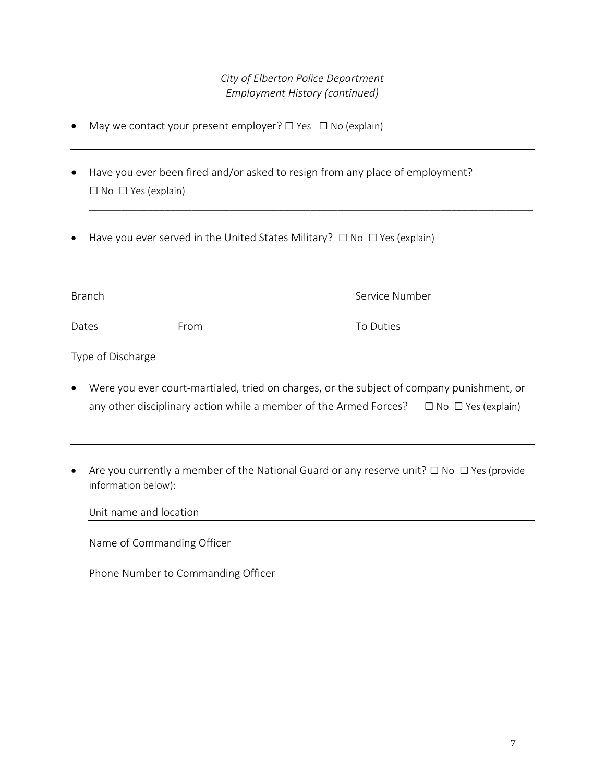## *City of Elberton Police Department Employment History (continued)*

\_\_\_\_\_\_\_\_\_\_\_\_\_\_\_\_\_\_\_\_\_\_\_\_\_\_\_\_\_\_\_\_\_\_\_\_\_\_\_\_\_\_\_\_\_\_\_\_\_\_\_\_\_\_\_\_\_\_\_\_\_\_\_\_\_\_\_\_\_\_\_\_\_\_\_\_\_\_\_\_\_\_

- May we contact your present employer? □ Yes □ No (explain)
- Have you ever been fired and/or asked to resign from any place of employment?  $\square$  No  $\square$  Yes (explain)
- Have you ever served in the United States Military? □ No □ Yes (explain)

| <b>Branch</b>     |      | Service Number |
|-------------------|------|----------------|
| Dates             | From | To Duties      |
| Type of Discharge |      |                |

- Were you ever court-martialed, tried on charges, or the subject of company punishment, or any other disciplinary action while a member of the Armed Forces?  $\Box$  No  $\Box$  Yes (explain)
- Are you currently a member of the National Guard or any reserve unit? □ No □ Yes (provide information below):

| Unit name and location             |  |
|------------------------------------|--|
| Name of Commanding Officer         |  |
| Phone Number to Commanding Officer |  |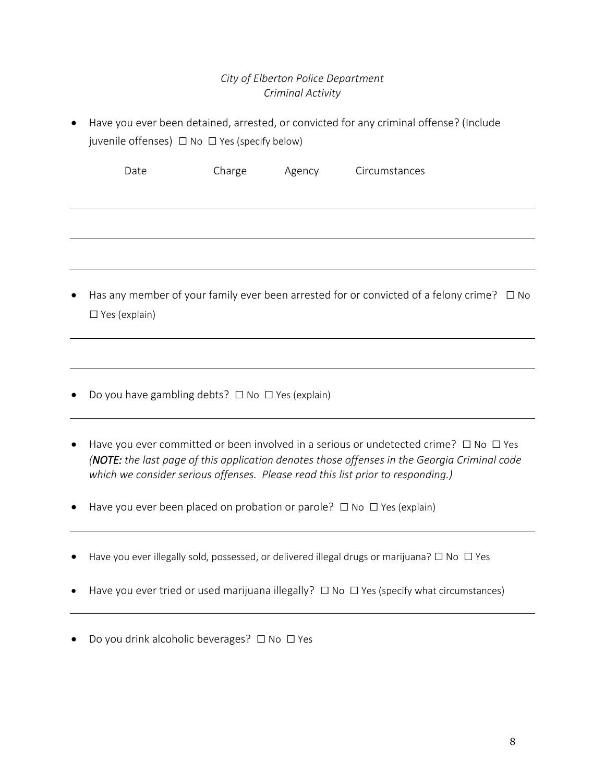# *City of Elberton Police Department Criminal Activity*

- Have you ever been detained, arrested, or convicted for any criminal offense? (Include juvenile offenses)  $\Box$  No  $\Box$  Yes (specify below) Date Charge Agency Circumstances
- Has any member of your family ever been arrested for or convicted of a felony crime?  $\Box$  No □ Yes (explain)
- Do you have gambling debts? □ No □ Yes (explain)
- Have you ever committed or been involved in a serious or undetected crime?  $\Box$  No  $\Box$  Yes *(NOTE: the last page of this application denotes those offenses in the Georgia Criminal code which we consider serious offenses. Please read this list prior to responding.)*
- Have you ever been placed on probation or parole?  $\Box$  No  $\Box$  Yes (explain)
- Have you ever illegally sold, possessed, or delivered illegal drugs or marijuana?  $\Box$  No  $\Box$  Yes
- Have you ever tried or used marijuana illegally?  $\Box$  No  $\Box$  Yes (specify what circumstances)
- Do you drink alcoholic beverages? □ No □ Yes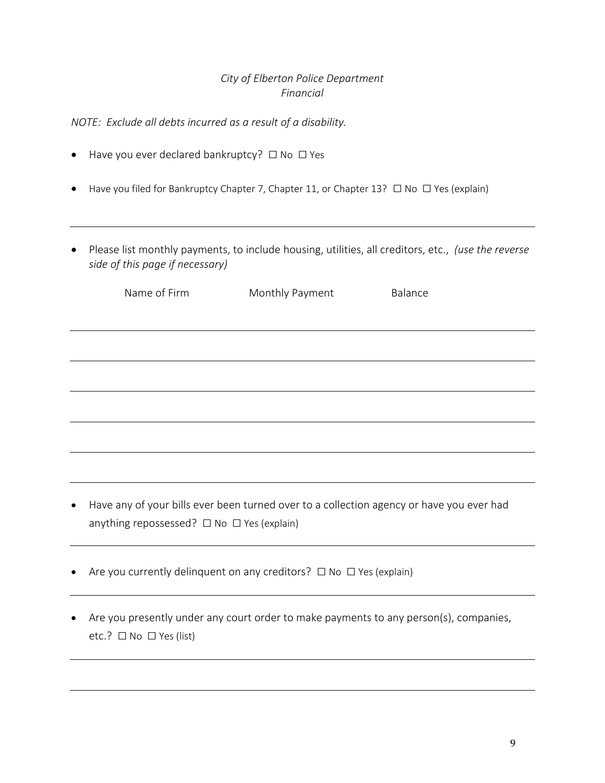### *City of Elberton Police Department Financial*

*NOTE: Exclude all debts incurred as a result of a disability.*

- Have you ever declared bankruptcy? □ No □ Yes
- Have you filed for Bankruptcy Chapter 7, Chapter 11, or Chapter 13? □ No □ Yes (explain)
- Please list monthly payments, to include housing, utilities, all creditors, etc., *(use the reverse side of this page if necessary)*

| Name of Firm | Monthly Payment | Balance |
|--------------|-----------------|---------|
|              |                 |         |
|              |                 |         |
|              |                 |         |
|              |                 |         |
|              |                 |         |
|              |                 |         |

- Have any of your bills ever been turned over to a collection agency or have you ever had anything repossessed?  $\Box$  No  $\Box$  Yes (explain)
- Are you currently delinquent on any creditors? □ No □ Yes (explain)
- Are you presently under any court order to make payments to any person(s), companies, etc.? □ No □ Yes (list)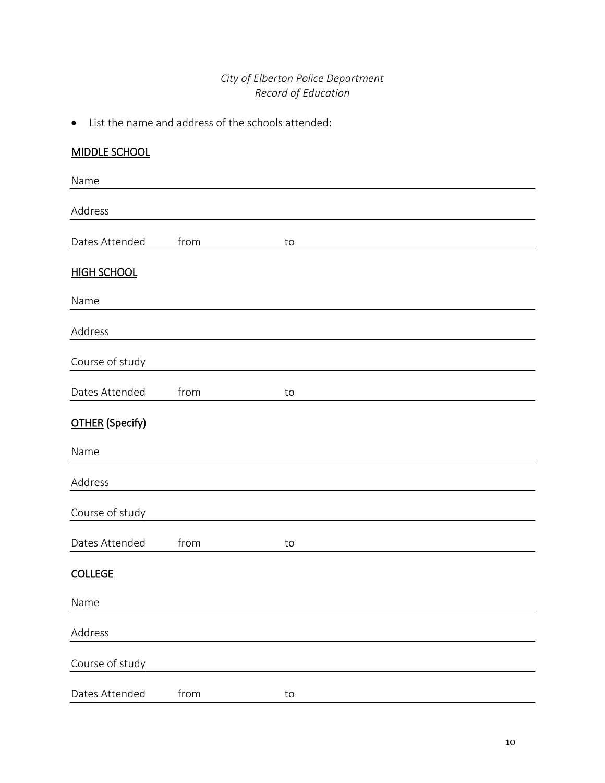# *City of Elberton Police Department Record of Education*

List the name and address of the schools attended:

| <b>MIDDLE SCHOOL</b>   |      |    |  |  |
|------------------------|------|----|--|--|
| Name                   |      |    |  |  |
| Address                |      |    |  |  |
| Dates Attended         | from | to |  |  |
| <b>HIGH SCHOOL</b>     |      |    |  |  |
| Name                   |      |    |  |  |
| Address                |      |    |  |  |
| Course of study        |      |    |  |  |
| Dates Attended         | from | to |  |  |
| <b>OTHER</b> (Specify) |      |    |  |  |
| Name                   |      |    |  |  |
| Address                |      |    |  |  |
| Course of study        |      |    |  |  |
| Dates Attended         | from | to |  |  |
| <b>COLLEGE</b>         |      |    |  |  |
| Name                   |      |    |  |  |
| Address                |      |    |  |  |
| Course of study        |      |    |  |  |
| Dates Attended         | from | to |  |  |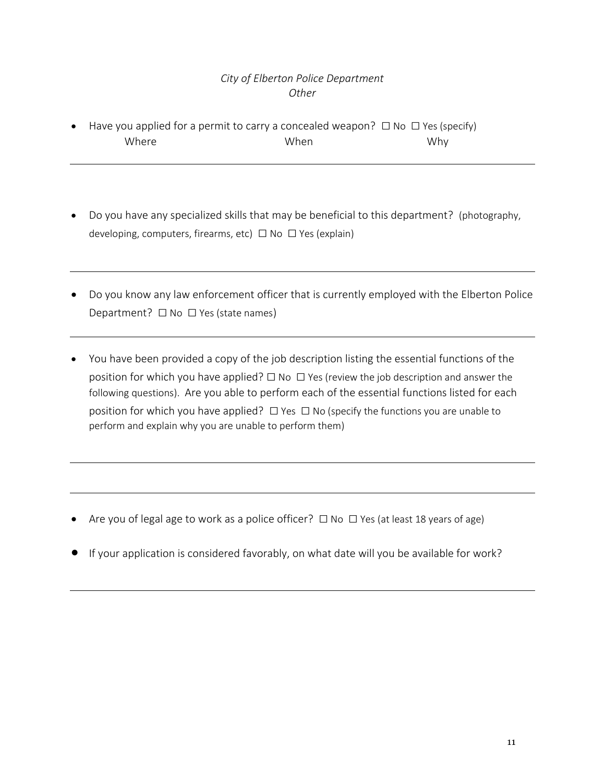# *City of Elberton Police Department Other*

- Have you applied for a permit to carry a concealed weapon?  $\Box$  No  $\Box$  Yes (specify) Where When Why
- Do you have any specialized skills that may be beneficial to this department? (photography, developing, computers, firearms, etc) □ No □ Yes (explain)
- Do you know any law enforcement officer that is currently employed with the Elberton Police Department? □ No □ Yes (state names)
- You have been provided a copy of the job description listing the essential functions of the position for which you have applied?  $\square$  No  $\square$  Yes (review the job description and answer the following questions). Are you able to perform each of the essential functions listed for each position for which you have applied?  $\Box$  Yes  $\Box$  No (specify the functions you are unable to perform and explain why you are unable to perform them)

- Are you of legal age to work as a police officer? □ No □ Yes (at least 18 years of age)
- If your application is considered favorably, on what date will you be available for work?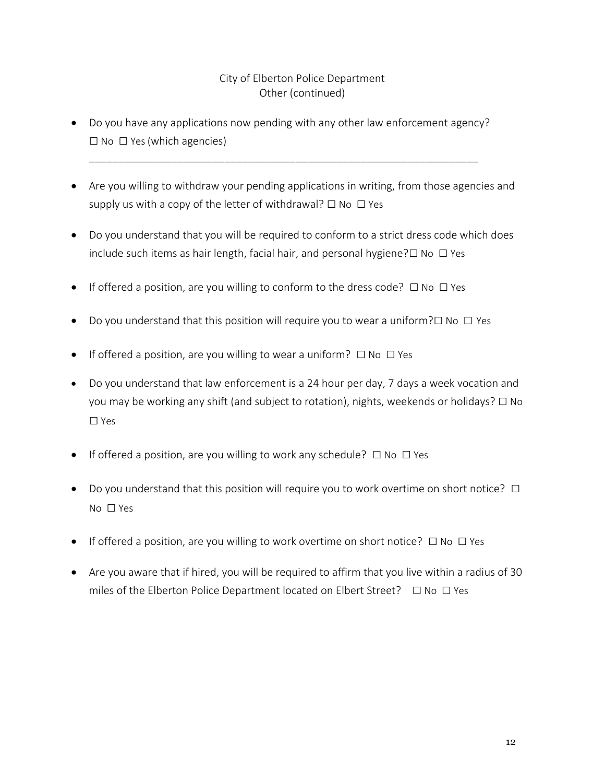# City of Elberton Police Department Other (continued)

 Do you have any applications now pending with any other law enforcement agency?  $\square$  No  $\square$  Yes (which agencies)

\_\_\_\_\_\_\_\_\_\_\_\_\_\_\_\_\_\_\_\_\_\_\_\_\_\_\_\_\_\_\_\_\_\_\_\_\_\_\_\_\_\_\_\_\_\_\_\_\_\_\_\_\_\_\_\_\_\_\_\_\_\_\_\_\_\_

- Are you willing to withdraw your pending applications in writing, from those agencies and supply us with a copy of the letter of withdrawal?  $\square$  No  $\square$  Yes
- Do you understand that you will be required to conform to a strict dress code which does include such items as hair length, facial hair, and personal hygiene? $\Box$  No  $\Box$  Yes
- If offered a position, are you willing to conform to the dress code?  $\Box$  No  $\Box$  Yes
- Do you understand that this position will require you to wear a uniform? $\Box$  No  $\Box$  Yes
- If offered a position, are you willing to wear a uniform?  $\Box$  No  $\Box$  Yes
- Do you understand that law enforcement is a 24 hour per day, 7 days a week vocation and you may be working any shift (and subject to rotation), nights, weekends or holidays? □ No □ Yes
- If offered a position, are you willing to work any schedule?  $\Box$  No  $\Box$  Yes
- Do you understand that this position will require you to work overtime on short notice? □ No □ Yes
- If offered a position, are you willing to work overtime on short notice?  $\Box$  No  $\Box$  Yes
- Are you aware that if hired, you will be required to affirm that you live within a radius of 30 miles of the Elberton Police Department located on Elbert Street?  $\Box$  No  $\Box$  Yes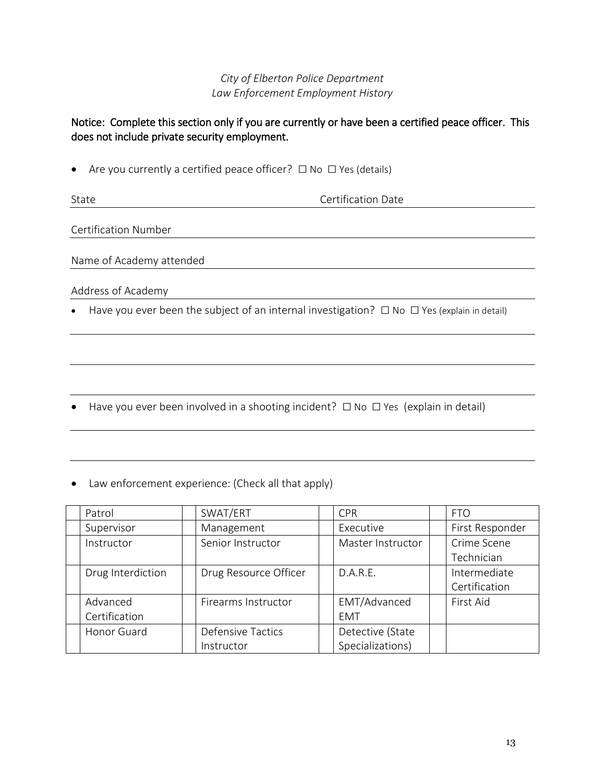# *City of Elberton Police Department Law Enforcement Employment History*

### Notice: Complete this section only if you are currently or have been a certified peace officer. This does not include private security employment.

• Are you currently a certified peace officer?  $□$  No  $□$  Yes (details)

State **Certification** Date

Certification Number

Name of Academy attended

Address of Academy

■ Have you ever been the subject of an internal investigation?  $\Box$  No  $\Box$  Yes (explain in detail)

- Have you ever been involved in a shooting incident?  $\Box$  No  $\Box$  Yes (explain in detail)
- Law enforcement experience: (Check all that apply)

| Patrol            | SWAT/ERT                 | <b>CPR</b>        | <b>FTO</b>      |
|-------------------|--------------------------|-------------------|-----------------|
| Supervisor        | Management               | Executive         | First Responder |
| Instructor        | Senior Instructor        | Master Instructor | Crime Scene     |
|                   |                          |                   | Technician      |
| Drug Interdiction | Drug Resource Officer    | D.A.R.E.          | Intermediate    |
|                   |                          |                   | Certification   |
| Advanced          | Firearms Instructor      | EMT/Advanced      | First Aid       |
| Certification     |                          | <b>EMT</b>        |                 |
| Honor Guard       | <b>Defensive Tactics</b> | Detective (State  |                 |
|                   | Instructor               | Specializations)  |                 |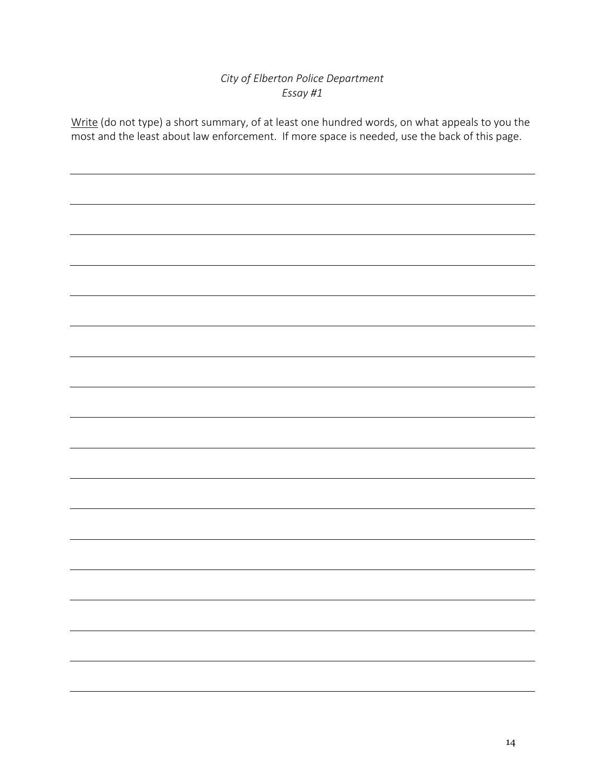# *City of Elberton Police Department Essay #1*

Write (do not type) a short summary, of at least one hundred words, on what appeals to you the most and the least about law enforcement. If more space is needed, use the back of this page.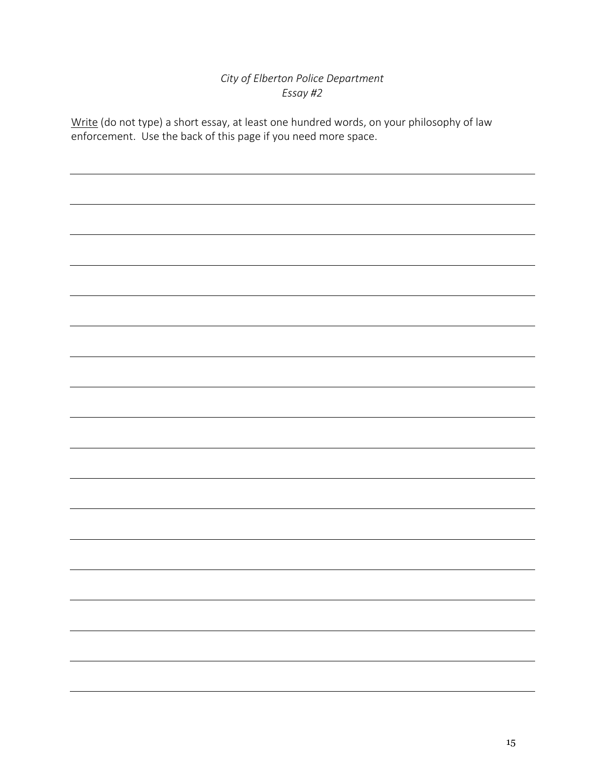# *City of Elberton Police Department Essay #2*

Write (do not type) a short essay, at least one hundred words, on your philosophy of law enforcement. Use the back of this page if you need more space.

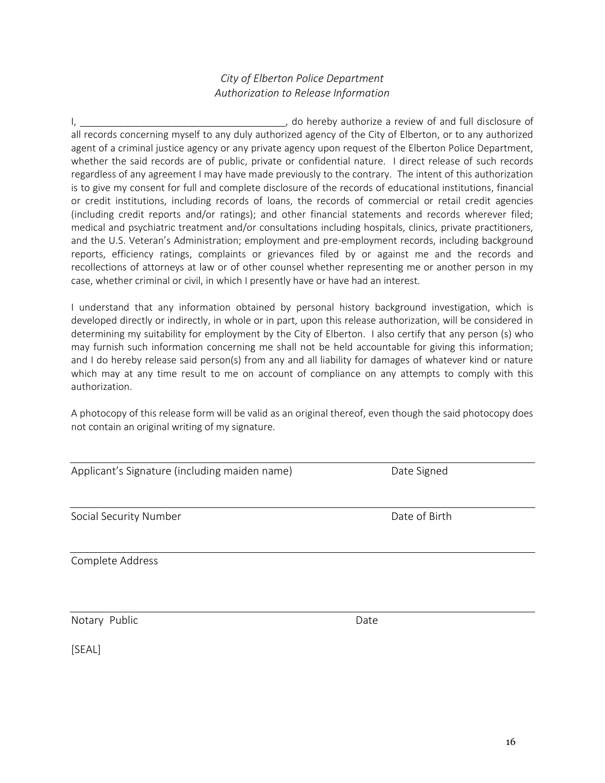16

#### *City of Elberton Police Department Authorization to Release Information*

I, the contract of and the contract of the contract of and full disclosure of and full disclosure of and full disclosure of all records concerning myself to any duly authorized agency of the City of Elberton, or to any authorized agent of a criminal justice agency or any private agency upon request of the Elberton Police Department, whether the said records are of public, private or confidential nature. I direct release of such records regardless of any agreement I may have made previously to the contrary. The intent of this authorization is to give my consent for full and complete disclosure of the records of educational institutions, financial or credit institutions, including records of loans, the records of commercial or retail credit agencies (including credit reports and/or ratings); and other financial statements and records wherever filed; medical and psychiatric treatment and/or consultations including hospitals, clinics, private practitioners, and the U.S. Veteran's Administration; employment and pre-employment records, including background reports, efficiency ratings, complaints or grievances filed by or against me and the records and recollections of attorneys at law or of other counsel whether representing me or another person in my case, whether criminal or civil, in which I presently have or have had an interest.

I understand that any information obtained by personal history background investigation, which is developed directly or indirectly, in whole or in part, upon this release authorization, will be considered in determining my suitability for employment by the City of Elberton. I also certify that any person (s) who may furnish such information concerning me shall not be held accountable for giving this information; and I do hereby release said person(s) from any and all liability for damages of whatever kind or nature which may at any time result to me on account of compliance on any attempts to comply with this authorization.

A photocopy of this release form will be valid as an original thereof, even though the said photocopy does not contain an original writing of my signature.

|  | Applicant's Signature (including maiden name) |  |  |  |
|--|-----------------------------------------------|--|--|--|
|--|-----------------------------------------------|--|--|--|

Social Security Number **Date of Birth** 

Complete Address

Notary Public **Date** 

Date Signed

[SEAL]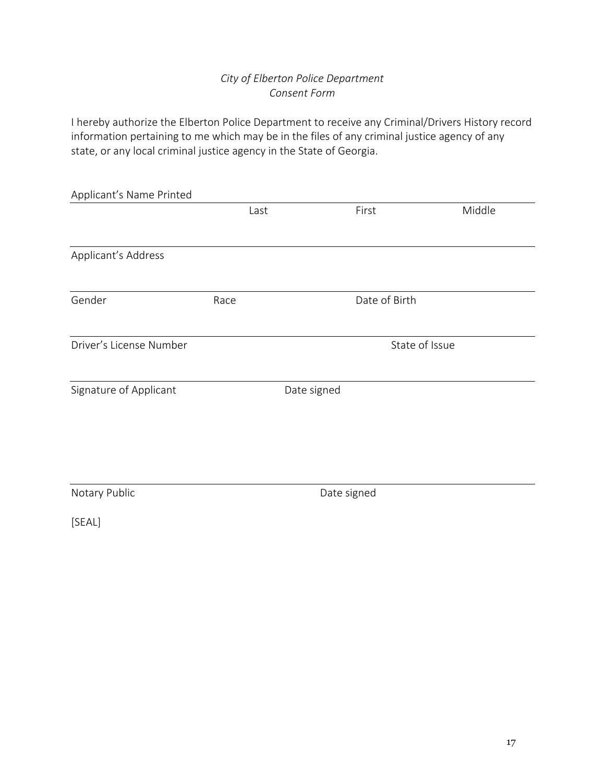# *City of Elberton Police Department Consent Form*

I hereby authorize the Elberton Police Department to receive any Criminal/Drivers History record information pertaining to me which may be in the files of any criminal justice agency of any state, or any local criminal justice agency in the State of Georgia.

| Applicant's Name Printed |             |      |             |               |                |
|--------------------------|-------------|------|-------------|---------------|----------------|
|                          |             | Last |             | First         | Middle         |
|                          |             |      |             |               |                |
| Applicant's Address      |             |      |             |               |                |
|                          |             |      |             |               |                |
| Gender                   | Race        |      |             | Date of Birth |                |
|                          |             |      |             |               |                |
| Driver's License Number  |             |      |             |               | State of Issue |
|                          |             |      |             |               |                |
| Signature of Applicant   |             |      | Date signed |               |                |
|                          |             |      |             |               |                |
|                          |             |      |             |               |                |
|                          |             |      |             |               |                |
| Notary Public            | Date signed |      |             |               |                |
| [SEAL]                   |             |      |             |               |                |
|                          |             |      |             |               |                |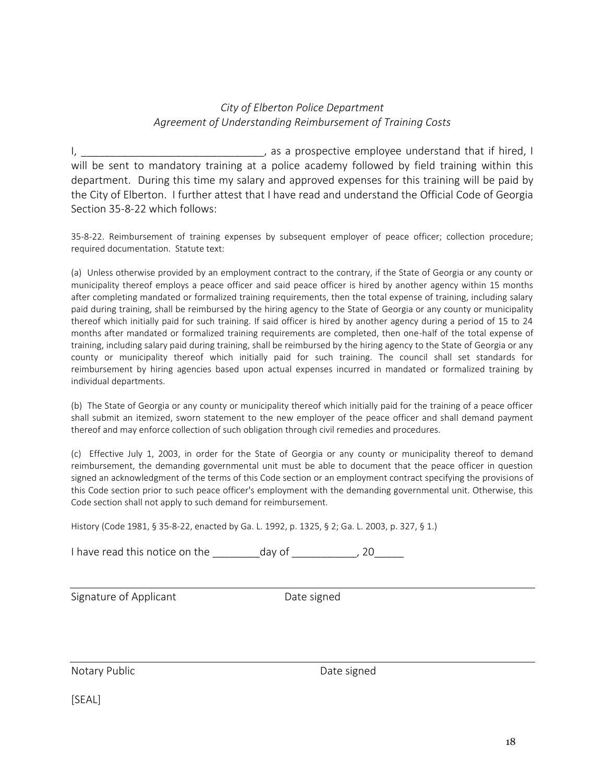#### *City of Elberton Police Department Agreement of Understanding Reimbursement of Training Costs*

I, \_\_\_\_\_\_\_\_\_\_\_\_\_\_\_\_\_\_\_\_\_\_\_\_\_\_\_\_\_\_\_\_\_\_, as a prospective employee understand that if hired, I will be sent to mandatory training at a police academy followed by field training within this department. During this time my salary and approved expenses for this training will be paid by the City of Elberton. I further attest that I have read and understand the Official Code of Georgia Section 35-8-22 which follows:

35-8-22. Reimbursement of training expenses by subsequent employer of peace officer; collection procedure; required documentation. Statute text:

(a) Unless otherwise provided by an employment contract to the contrary, if the State of Georgia or any county or municipality thereof employs a peace officer and said peace officer is hired by another agency within 15 months after completing mandated or formalized training requirements, then the total expense of training, including salary paid during training, shall be reimbursed by the hiring agency to the State of Georgia or any county or municipality thereof which initially paid for such training. If said officer is hired by another agency during a period of 15 to 24 months after mandated or formalized training requirements are completed, then one-half of the total expense of training, including salary paid during training, shall be reimbursed by the hiring agency to the State of Georgia or any county or municipality thereof which initially paid for such training. The council shall set standards for reimbursement by hiring agencies based upon actual expenses incurred in mandated or formalized training by individual departments.

(b) The State of Georgia or any county or municipality thereof which initially paid for the training of a peace officer shall submit an itemized, sworn statement to the new employer of the peace officer and shall demand payment thereof and may enforce collection of such obligation through civil remedies and procedures.

(c) Effective July 1, 2003, in order for the State of Georgia or any county or municipality thereof to demand reimbursement, the demanding governmental unit must be able to document that the peace officer in question signed an acknowledgment of the terms of this Code section or an employment contract specifying the provisions of this Code section prior to such peace officer's employment with the demanding governmental unit. Otherwise, this Code section shall not apply to such demand for reimbursement.

History (Code 1981, § 35-8-22, enacted by Ga. L. 1992, p. 1325, § 2; Ga. L. 2003, p. 327, § 1.)

I have read this notice on the day of the control of the set of the set of the set of the set of the set of th

Signature of Applicant **Date Signature of Applicant** 

Notary Public **Date Signed** Date signed

[SEAL]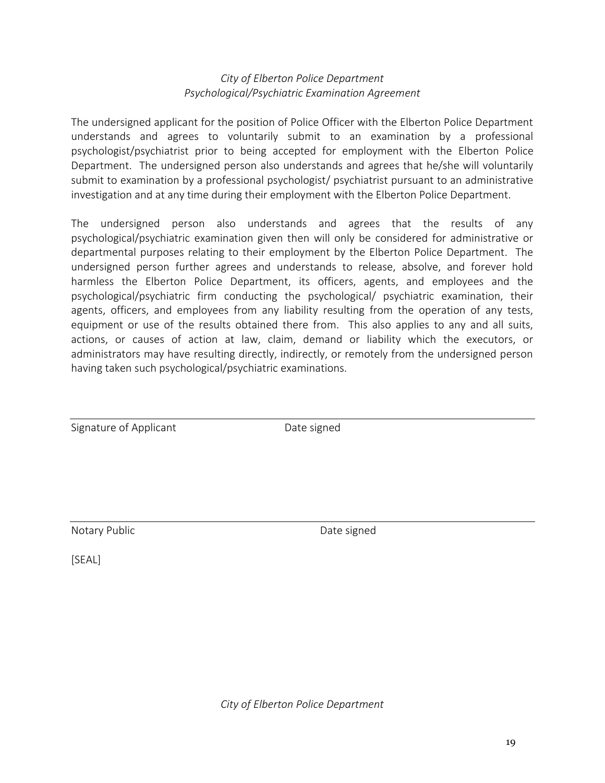#### *City of Elberton Police Department Psychological/Psychiatric Examination Agreement*

The undersigned applicant for the position of Police Officer with the Elberton Police Department understands and agrees to voluntarily submit to an examination by a professional psychologist/psychiatrist prior to being accepted for employment with the Elberton Police Department. The undersigned person also understands and agrees that he/she will voluntarily submit to examination by a professional psychologist/ psychiatrist pursuant to an administrative investigation and at any time during their employment with the Elberton Police Department.

The undersigned person also understands and agrees that the results of any psychological/psychiatric examination given then will only be considered for administrative or departmental purposes relating to their employment by the Elberton Police Department. The undersigned person further agrees and understands to release, absolve, and forever hold harmless the Elberton Police Department, its officers, agents, and employees and the psychological/psychiatric firm conducting the psychological/ psychiatric examination, their agents, officers, and employees from any liability resulting from the operation of any tests, equipment or use of the results obtained there from. This also applies to any and all suits, actions, or causes of action at law, claim, demand or liability which the executors, or administrators may have resulting directly, indirectly, or remotely from the undersigned person having taken such psychological/psychiatric examinations.

| Signature of Applicant |  |  |
|------------------------|--|--|
|                        |  |  |

Date signed

Notary Public **Notary Public Date signed** 

[SEAL]

*City of Elberton Police Department*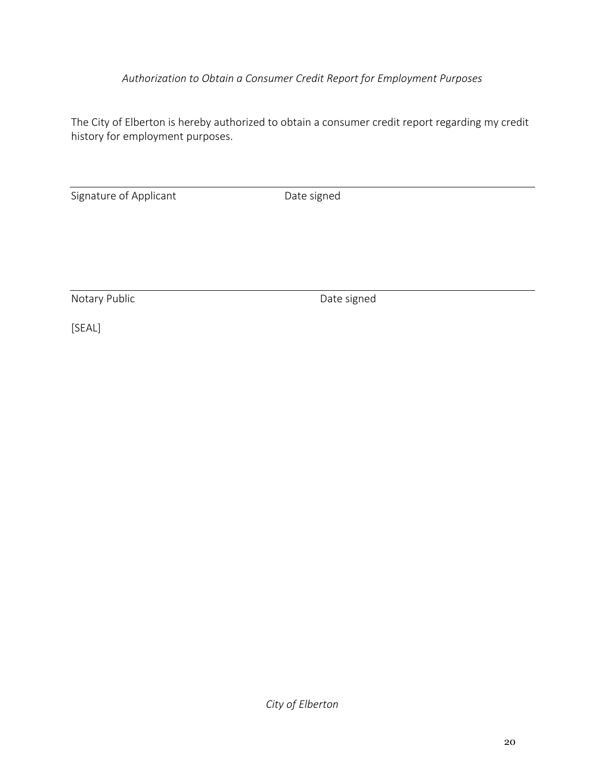# *Authorization to Obtain a Consumer Credit Report for Employment Purposes*

The City of Elberton is hereby authorized to obtain a consumer credit report regarding my credit history for employment purposes.

Signature of Applicant Date signed

Notary Public **Date signed** 

[SEAL]

*City of Elberton*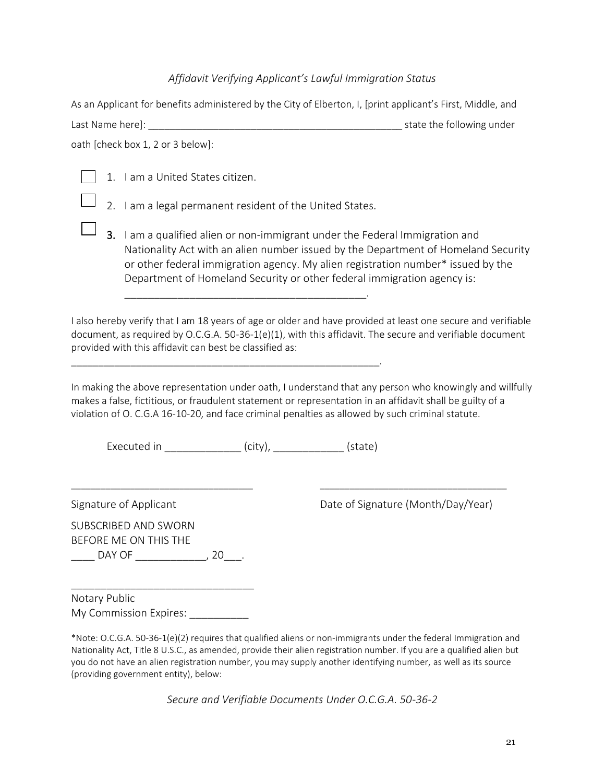#### *Affidavit Verifying Applicant's Lawful Immigration Status*

As an Applicant for benefits administered by the City of Elberton, I, [print applicant's First, Middle, and Last Name here]: \_\_\_\_\_\_\_\_\_\_\_\_\_\_\_\_\_\_\_\_\_\_\_\_\_\_\_\_\_\_\_\_\_\_\_\_\_\_\_\_\_\_\_\_\_\_\_ state the following under

oath [check box 1, 2 or 3 below]:

1. I am a United States citizen.

2. I am a legal permanent resident of the United States.

\_\_\_\_\_\_\_\_\_\_\_\_\_\_\_\_\_\_\_\_\_\_\_\_\_\_\_\_\_\_\_\_\_\_\_\_\_\_\_\_\_.

3. I am a qualified alien or non-immigrant under the Federal Immigration and Nationality Act with an alien number issued by the Department of Homeland Security or other federal immigration agency. My alien registration number\* issued by the Department of Homeland Security or other federal immigration agency is:

I also hereby verify that I am 18 years of age or older and have provided at least one secure and verifiable document, as required by O.C.G.A. 50-36-1(e)(1), with this affidavit. The secure and verifiable document provided with this affidavit can best be classified as:

In making the above representation under oath, I understand that any person who knowingly and willfully makes a false, fictitious, or fraudulent statement or representation in an affidavit shall be guilty of a violation of O. C.G.A 16-10-20, and face criminal penalties as allowed by such criminal statute.

\_\_\_\_\_\_\_\_\_\_\_\_\_\_\_\_\_\_\_\_\_\_\_\_\_\_\_\_\_\_\_\_\_\_\_\_\_ \_\_\_\_\_\_\_\_\_\_\_\_\_\_\_\_\_\_\_\_\_\_\_\_\_\_\_\_\_\_\_\_\_\_\_\_\_\_

Executed in  $(city)$ ,  $(state)$ 

\_\_\_\_\_\_\_\_\_\_\_\_\_\_\_\_\_\_\_\_\_\_\_\_\_\_\_\_\_\_\_\_\_\_\_\_\_\_\_\_\_\_\_\_\_\_\_\_\_\_\_\_\_\_\_\_\_.

SUBSCRIBED AND SWORN BEFORE ME ON THIS THE

Signature of Applicant **Date of Signature (Month/Day/Year)** 

\_\_\_\_\_\_\_\_\_\_\_\_\_\_\_\_\_\_\_\_\_\_\_\_\_\_\_\_\_\_\_ Notary Public My Commission Expires:

\_\_\_\_\_ DAY OF \_\_\_\_\_\_\_\_\_\_\_\_\_\_\_\_, 20\_\_ .

\*Note: O.C.G.A. 50-36-1(e)(2) requires that qualified aliens or non-immigrants under the federal Immigration and Nationality Act, Title 8 U.S.C., as amended, provide their alien registration number. If you are a qualified alien but you do not have an alien registration number, you may supply another identifying number, as well as its source (providing government entity), below:

*Secure and Verifiable Documents Under O.C.G.A. 50-36-2*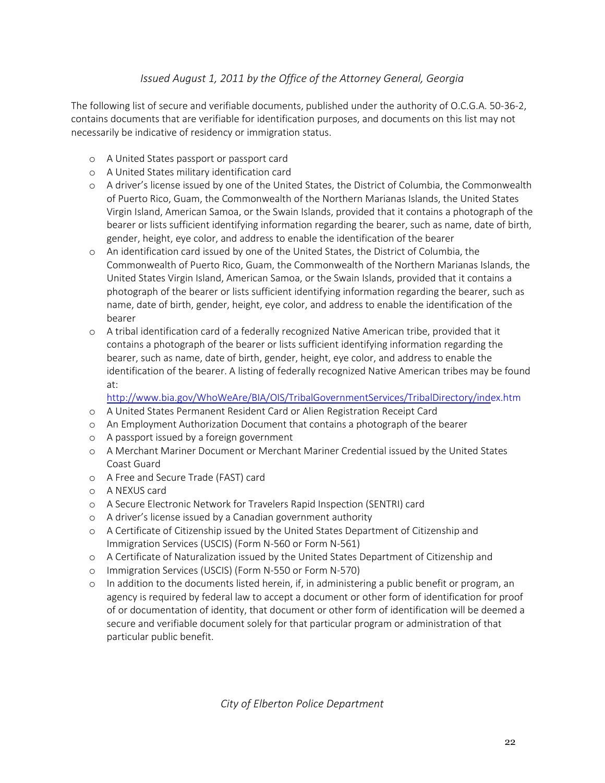# *Issued August 1, 2011 by the Office of the Attorney General, Georgia*

The following list of secure and verifiable documents, published under the authority of O.C.G.A. 50-36-2, contains documents that are verifiable for identification purposes, and documents on this list may not necessarily be indicative of residency or immigration status.

- o A United States passport or passport card
- o A United States military identification card
- o A driver's license issued by one of the United States, the District of Columbia, the Commonwealth of Puerto Rico, Guam, the Commonwealth of the Northern Marianas Islands, the United States Virgin Island, American Samoa, or the Swain Islands, provided that it contains a photograph of the bearer or lists sufficient identifying information regarding the bearer, such as name, date of birth, gender, height, eye color, and address to enable the identification of the bearer
- o An identification card issued by one of the United States, the District of Columbia, the Commonwealth of Puerto Rico, Guam, the Commonwealth of the Northern Marianas Islands, the United States Virgin Island, American Samoa, or the Swain Islands, provided that it contains a photograph of the bearer or lists sufficient identifying information regarding the bearer, such as name, date of birth, gender, height, eye color, and address to enable the identification of the bearer
- o A tribal identification card of a federally recognized Native American tribe, provided that it contains a photograph of the bearer or lists sufficient identifying information regarding the bearer, such as name, date of birth, gender, height, eye color, and address to enable the identification of the bearer. A listing of federally recognized Native American tribes may be found at:

[http://www.bia.gov/WhoWeAre/BIA/OIS/TribalGovernmentServices/TribalDirectory/inde](http://www.bia.gov/WhoWeAre/BIA/OIS/TribalGovernmentServices/TribalDirectory/ind)x.htm

- o A United States Permanent Resident Card or Alien Registration Receipt Card
- o An Employment Authorization Document that contains a photograph of the bearer
- o A passport issued by a foreign government
- o A Merchant Mariner Document or Merchant Mariner Credential issued by the United States Coast Guard
- o A Free and Secure Trade (FAST) card
- o A NEXUS card
- o A Secure Electronic Network for Travelers Rapid Inspection (SENTRI) card
- o A driver's license issued by a Canadian government authority
- o A Certificate of Citizenship issued by the United States Department of Citizenship and Immigration Services (USCIS) (Form N-560 or Form N-561)
- o A Certificate of Naturalization issued by the United States Department of Citizenship and
- o Immigration Services (USCIS) (Form N-550 or Form N-570)
- o In addition to the documents listed herein, if, in administering a public benefit or program, an agency is required by federal law to accept a document or other form of identification for proof of or documentation of identity, that document or other form of identification will be deemed a secure and verifiable document solely for that particular program or administration of that particular public benefit.

*City of Elberton Police Department*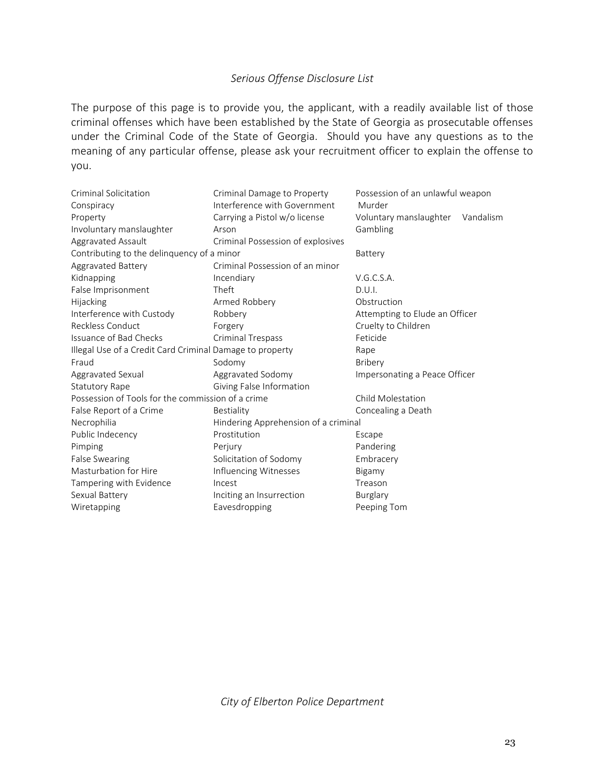# *Serious Offense Disclosure List*

The purpose of this page is to provide you, the applicant, with a readily available list of those criminal offenses which have been established by the State of Georgia as prosecutable offenses under the Criminal Code of the State of Georgia. Should you have any questions as to the meaning of any particular offense, please ask your recruitment officer to explain the offense to you.

| Criminal Solicitation<br>Conspiracy                      | Criminal Damage to Property<br>Interference with Government | Possession of an unlawful weapon<br>Murder |  |  |
|----------------------------------------------------------|-------------------------------------------------------------|--------------------------------------------|--|--|
| Property                                                 | Carrying a Pistol w/o license                               | Voluntary manslaughter Vandalism           |  |  |
| Involuntary manslaughter                                 | Arson                                                       | Gambling                                   |  |  |
| Aggravated Assault                                       | Criminal Possession of explosives                           |                                            |  |  |
| Contributing to the delinquency of a minor               |                                                             | Battery                                    |  |  |
| Aggravated Battery                                       | Criminal Possession of an minor                             |                                            |  |  |
| Kidnapping                                               | Incendiary                                                  | V.G.C.S.A.                                 |  |  |
| False Imprisonment                                       | Theft                                                       | D.U.l.                                     |  |  |
| Hijacking                                                | Armed Robbery                                               | Obstruction                                |  |  |
| Interference with Custody                                | Robbery                                                     | Attempting to Elude an Officer             |  |  |
| Reckless Conduct                                         | Forgery                                                     | Cruelty to Children                        |  |  |
| Issuance of Bad Checks                                   | <b>Criminal Trespass</b>                                    | Feticide                                   |  |  |
| Illegal Use of a Credit Card Criminal Damage to property |                                                             | Rape                                       |  |  |
| Fraud                                                    | Sodomy                                                      | Bribery                                    |  |  |
| Aggravated Sexual                                        | Aggravated Sodomy                                           | Impersonating a Peace Officer              |  |  |
| <b>Statutory Rape</b>                                    | Giving False Information                                    |                                            |  |  |
| Possession of Tools for the commission of a crime        |                                                             | Child Molestation                          |  |  |
| False Report of a Crime                                  | Bestiality                                                  | Concealing a Death                         |  |  |
| Necrophilia                                              | Hindering Apprehension of a criminal                        |                                            |  |  |
| Public Indecency                                         | Prostitution                                                | Escape                                     |  |  |
| Pimping                                                  | Perjury                                                     | Pandering                                  |  |  |
| <b>False Swearing</b>                                    | Solicitation of Sodomy                                      | Embracery                                  |  |  |
| Masturbation for Hire                                    | Influencing Witnesses                                       | Bigamy                                     |  |  |
| Tampering with Evidence                                  | Incest                                                      | Treason                                    |  |  |
| Sexual Battery                                           | Inciting an Insurrection                                    | Burglary                                   |  |  |
| Wiretapping                                              | Eavesdropping                                               | Peeping Tom                                |  |  |

*City of Elberton Police Department*